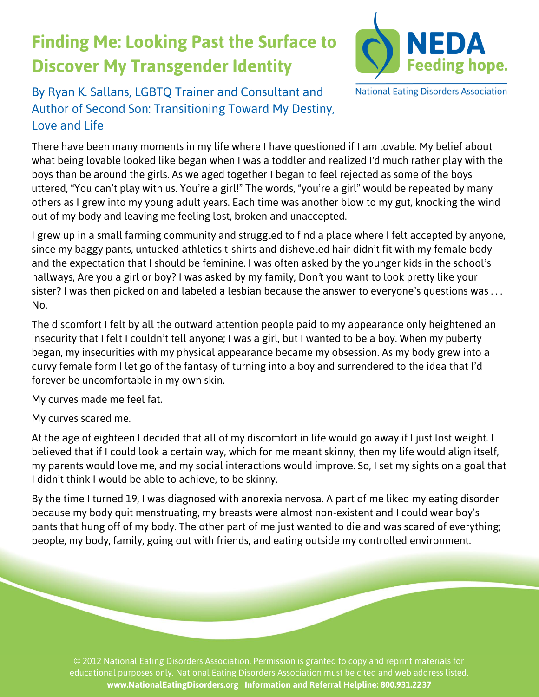## **Finding Me: Looking Past the Surface to Discover My Transgender Identity**



By Ryan K. Sallans, LGBTQ Trainer and Consultant and Author of *Second Son: Transitioning Toward My Destiny, Love and Life*

There have been many moments in my life where I have questioned if I am lovable. My belief about what being lovable looked like began when I was a toddler and realized I'd much rather play with the boys than be around the girls. As we aged together I began to feel rejected as some of the boys uttered, "You can't play with us. You're a girl!" The words, "you're a girl" would be repeated by many others as I grew into my young adult years. Each time was another blow to my gut, knocking the wind out of my body and leaving me feeling lost, broken and unaccepted.

I grew up in a small farming community and struggled to find a place where I felt accepted by anyone, since my baggy pants, untucked athletics t-shirts and disheveled hair didn't fit with my female body and the expectation that I should be feminine. I was often asked by the younger kids in the school's hallways, *Are you a girl or boy?* I was asked by my family, *Don't you want to look pretty like your sister?* I was then picked on and labeled a lesbian because the answer to everyone's questions was . . . *No*.

The discomfort I felt by all the outward attention people paid to my appearance only heightened an insecurity that I felt I couldn't tell anyone; I was a girl, but I wanted to be a boy. When my puberty began, my insecurities with my physical appearance became my obsession. As my body grew into a curvy female form I let go of the fantasy of turning into a boy and surrendered to the idea that I'd forever be uncomfortable in my own skin.

My curves made me feel fat.

My curves scared me.

At the age of eighteen I decided that all of my discomfort in life would go away if I just lost weight. I believed that if I could look a certain way, which for me meant skinny, then my life would align itself, my parents would love me, and my social interactions would improve. So, I set my sights on a goal that I didn't think I would be able to achieve, to be skinny.

By the time I turned 19, I was diagnosed with anorexia nervosa. A part of me liked my eating disorder because my body quit menstruating, my breasts were almost non-existent and I could wear boy's pants that hung off of my body. The other part of me just wanted to die and was scared of everything; people, my body, family, going out with friends, and eating outside my controlled environment.

© 2012 National Eating Disorders Association. Permission is granted to copy and reprint materials for educational purposes only. National Eating Disorders Association must be cited and web address listed. **www.NationalEatingDisorders.org Information and Referral Helpline: 800.931.2237**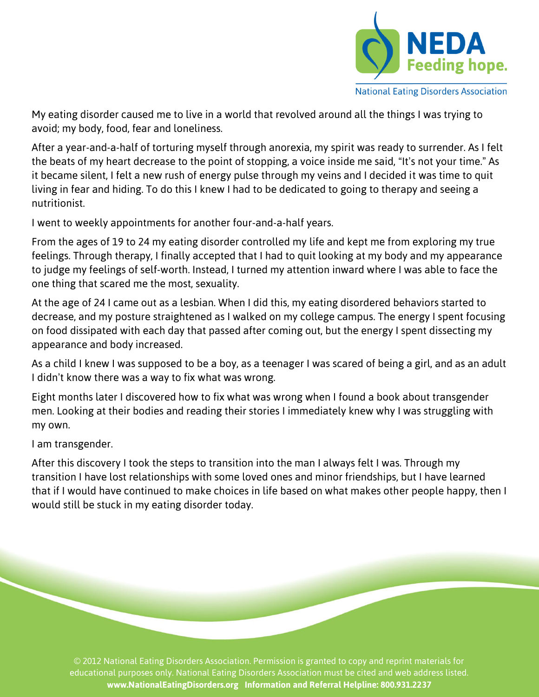

**National Eating Disorders Association** 

My eating disorder caused me to live in a world that revolved around all the things I was trying to avoid; my body, food, fear and loneliness.

After a year-and-a-half of torturing myself through anorexia, my spirit was ready to surrender. As I felt the beats of my heart decrease to the point of stopping, a voice inside me said, "It's not your time." As it became silent, I felt a new rush of energy pulse through my veins and I decided it was time to quit living in fear and hiding. To do this I knew I had to be dedicated to going to therapy and seeing a nutritionist.

I went to weekly appointments for another four-and-a-half years.

From the ages of 19 to 24 my eating disorder controlled my life and kept me from exploring my true feelings. Through therapy, I finally accepted that I had to quit looking at my body and my appearance to judge my feelings of self-worth. Instead, I turned my attention inward where I was able to face the one thing that scared me the most, sexuality.

At the age of 24 I came out as a lesbian. When I did this, my eating disordered behaviors started to decrease, and my posture straightened as I walked on my college campus. The energy I spent focusing on food dissipated with each day that passed after coming out, but the energy I spent dissecting my appearance and body increased.

As a child I knew I was supposed to be a boy, as a teenager I was scared of being a girl, and as an adult I didn't know there was a way to fix what was wrong.

Eight months later I discovered how to fix what was wrong when I found a book about transgender men. Looking at their bodies and reading their stories I immediately knew why I was struggling with my own.

I am transgender.

After this discovery I took the steps to transition into the man I always felt I was. Through my transition I have lost relationships with some loved ones and minor friendships, but I have learned that if I would have continued to make choices in life based on what makes other people happy, then I would still be stuck in my eating disorder today.

© 2012 National Eating Disorders Association. Permission is granted to copy and reprint materials for educational purposes only. National Eating Disorders Association must be cited and web address listed. **www.NationalEatingDisorders.org Information and Referral Helpline: 800.931.2237**